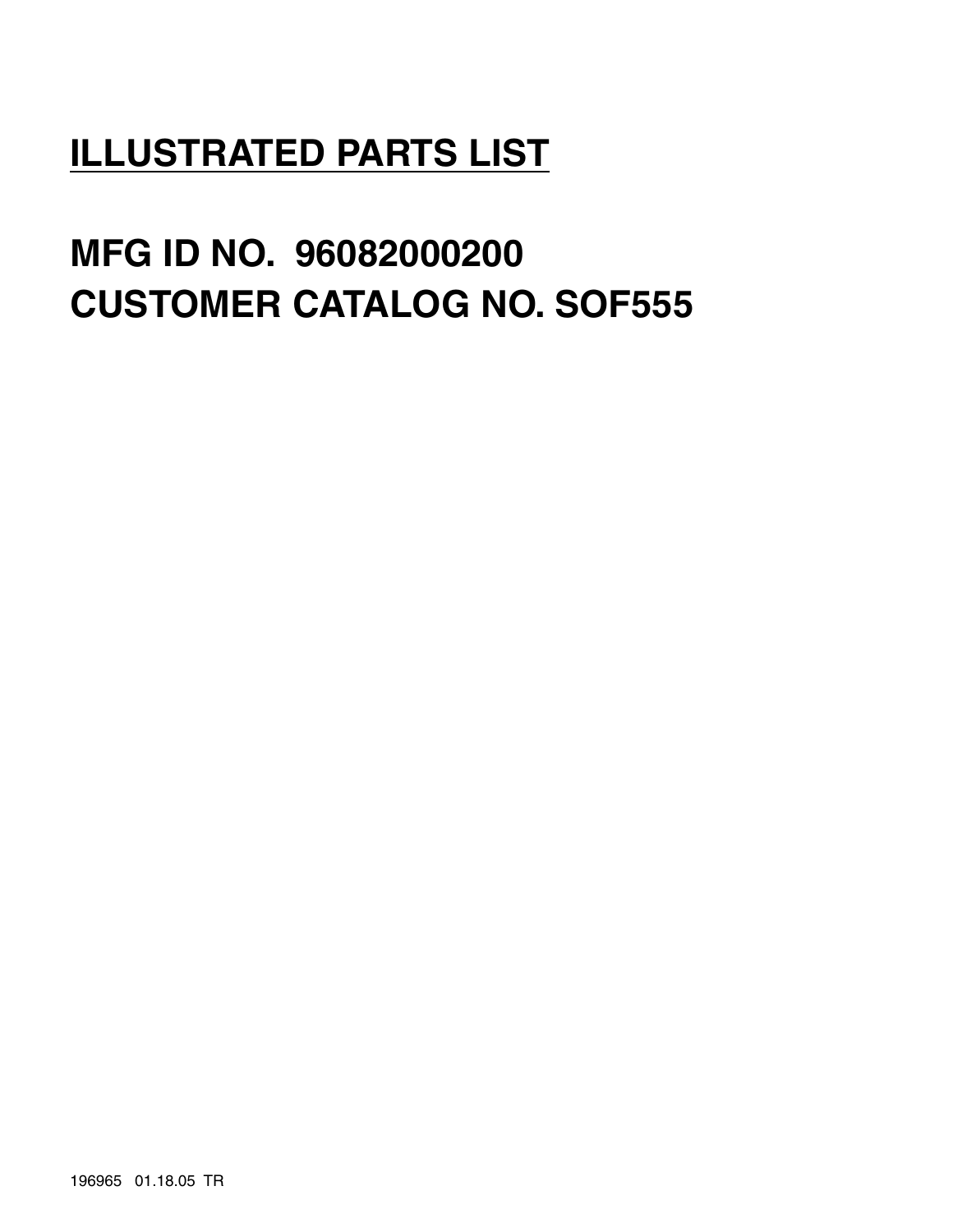## **ILLUSTRATED PARTS LIST**

# **MFG ID NO. 96082000200 CUSTOMER CATALOG NO. SOF555**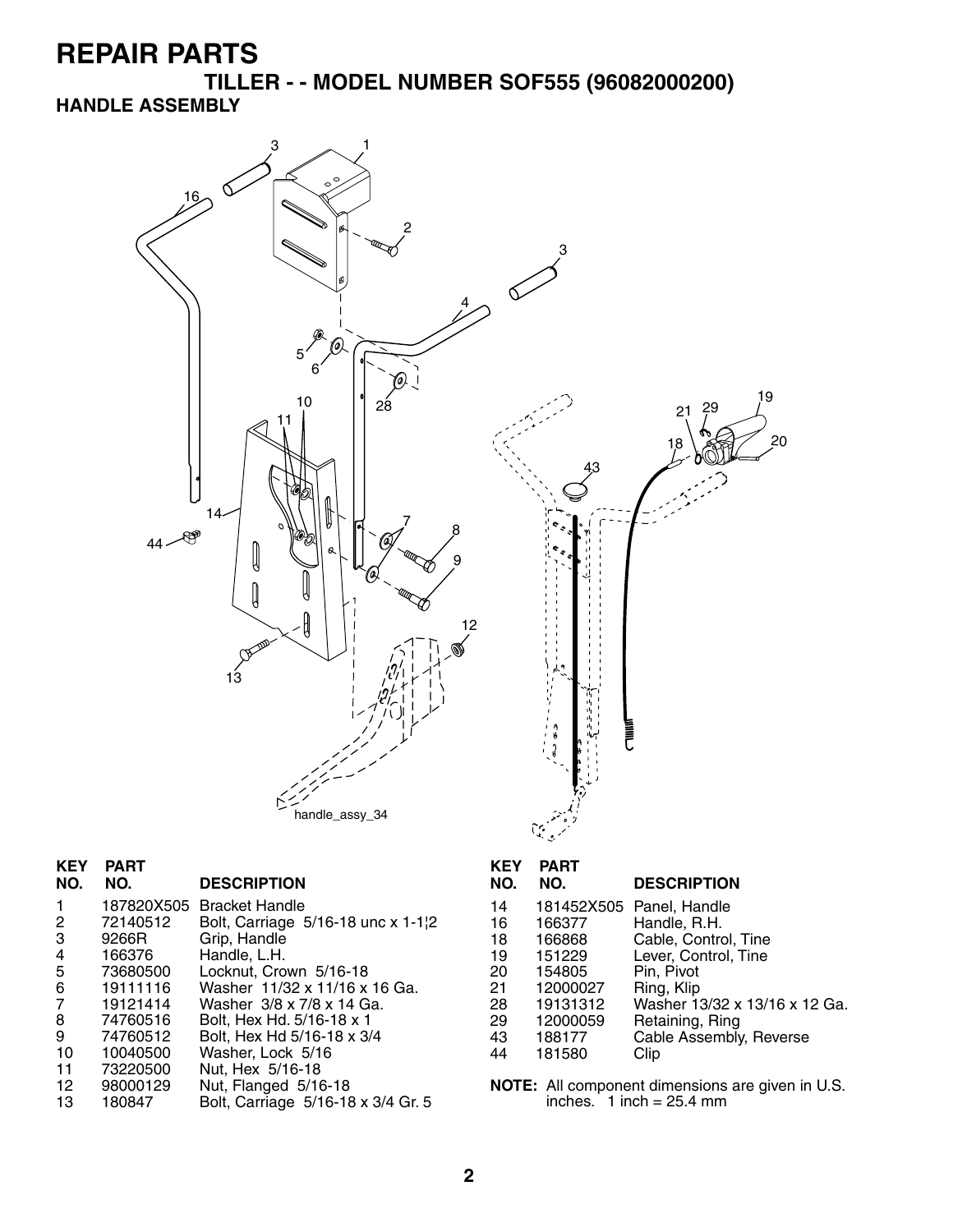**TILLER - - MODEL NUMBER SOF555 (96082000200) HANDLE ASSEMBLY**



#### **KEY PART**

**DESCRIPTION** 

|    |          | 187820X505 Bracket Handle          |
|----|----------|------------------------------------|
| 2  | 72140512 | Bolt, Carriage 5/16-18 unc x 1-1¦2 |
| 3  | 9266R    | Grip, Handle                       |
| 4  | 166376   | Handle, L.H.                       |
| 5  | 73680500 | Locknut, Crown 5/16-18             |
| 6  | 19111116 | Washer 11/32 x 11/16 x 16 Ga.      |
| 7  | 19121414 | Washer 3/8 x 7/8 x 14 Ga.          |
| 8  | 74760516 | Bolt, Hex Hd. 5/16-18 x 1          |
| 9  | 74760512 | Bolt, Hex Hd 5/16-18 x 3/4         |
| 10 | 10040500 | Washer, Lock 5/16                  |
| 11 | 73220500 | Nut, Hex 5/16-18                   |
| 12 | 98000129 | Nut, Flanged 5/16-18               |
| 13 | 180847   | Bolt, Carriage 5/16-18 x 3/4 Gr. 5 |

## **KEY PART**

#### **DESCRIPTION**

- 14 181452X505 Panel, Handle<br>16 166377 Handle, R.H.
- 16 166377 Handle, R.H.
- 18 166868 Cable, Control, Tine
- 19 151229 Lever, Control, Tine
- 20 154805 Pin, Pivot
- 21 12000027 Ring, Klip
- 28 19131312 Washer 13/32 x 13/16 x 12 Ga.<br>29 12000059 Retaining, Ring
- 29 12000059 Retaining, Ring 43 188177 Cable Assembly, Reverse<br>44 181580 Clip
	- 181580
- **NOTE:** All component dimensions are given in U.S. inches. 1 inch = 25.4 mm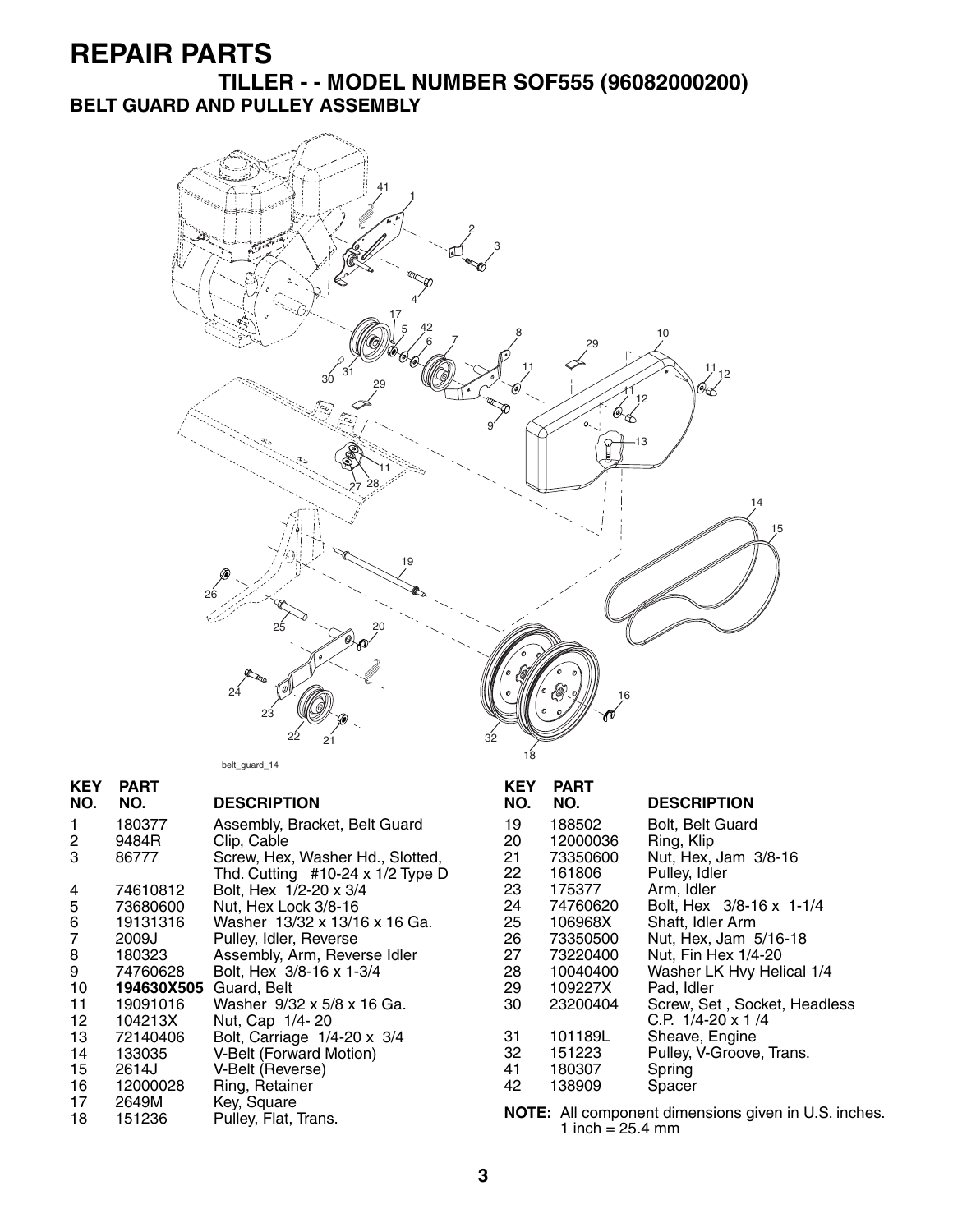**TILLER - - MODEL NUMBER SOF555 (96082000200) BELT GUARD AND PULLEY ASSEMBLY**



belt\_guard\_14

| <b>KEY</b>     | <b>PART</b> |                                         | <b>KEY</b> | <b>PART</b>                |                                                      |
|----------------|-------------|-----------------------------------------|------------|----------------------------|------------------------------------------------------|
| NO.            | NO.         | <b>DESCRIPTION</b>                      | NO.        | NO.                        | <b>DESCRIPTION</b>                                   |
| 1              | 180377      | Assembly, Bracket, Belt Guard           | 19         | 188502                     | <b>Bolt, Belt Guard</b>                              |
| $\overline{c}$ | 9484R       | Clip, Cable                             | 20         | 12000036                   | Ring, Klip                                           |
| 3              | 86777       | Screw, Hex, Washer Hd., Slotted,        | 21         | 73350600                   | Nut, Hex, Jam 3/8-16                                 |
|                |             | Thd. Cutting $#10-24 \times 1/2$ Type D | 22         | 161806                     | Pulley, Idler                                        |
| 4              | 74610812    | Bolt, Hex 1/2-20 x 3/4                  | 23         | 175377                     | Arm, Idler                                           |
| 5              | 73680600    | Nut, Hex Lock 3/8-16                    | 24         | 74760620                   | Bolt, Hex 3/8-16 x 1-1/4                             |
| 6              | 19131316    | Washer 13/32 x 13/16 x 16 Ga.           | 25         | 106968X                    | Shaft, Idler Arm                                     |
| 7              | 2009J       | Pulley, Idler, Reverse                  | 26         | 73350500                   | Nut, Hex, Jam 5/16-18                                |
| 8              | 180323      | Assembly, Arm, Reverse Idler            | 27         | 73220400                   | Nut, Fin Hex 1/4-20                                  |
| 9              | 74760628    | Bolt, Hex 3/8-16 x 1-3/4                | 28         | 10040400                   | Washer LK Hvy Helical 1/4                            |
| 10             | 194630X505  | Guard, Belt                             | 29         | 109227X                    | Pad, Idler                                           |
| 11             | 19091016    | Washer 9/32 x 5/8 x 16 Ga.              | 30         | 23200404                   | Screw, Set, Socket, Headless                         |
| 12             | 104213X     | Nut, Cap 1/4-20                         |            |                            | C.P. $1/4 - 20 \times 1/4$                           |
| 13             | 72140406    | Bolt, Carriage 1/4-20 x 3/4             | 31         | 101189L                    | Sheave, Engine                                       |
| 14             | 133035      | <b>V-Belt (Forward Motion)</b>          | 32         | 151223                     | Pulley, V-Groove, Trans.                             |
| 15             | 2614J       | V-Belt (Reverse)                        | 41         | 180307                     | Spring                                               |
| 16             | 12000028    | Ring, Retainer                          | 42         | 138909                     | Spacer                                               |
| 17             | 2649M       | Key, Square                             |            |                            |                                                      |
| 18             | 151236      | Pulley, Flat, Trans.                    |            | 1 inch = $25.4 \text{ mm}$ | NOTE: All component dimensions given in U.S. inches. |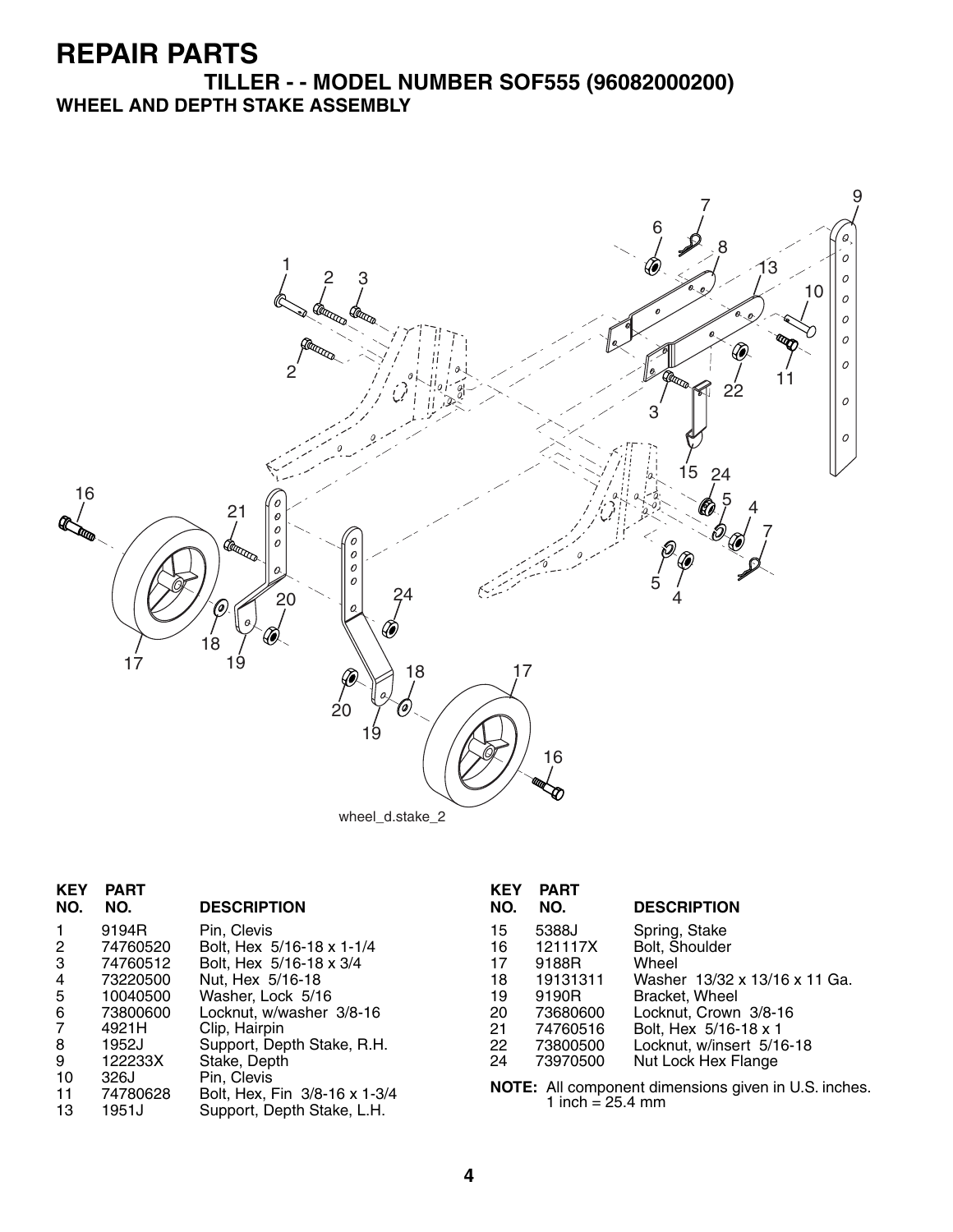#### **TILLER - - MODEL NUMBER SOF555 (96082000200) WHEEL AND DEPTH STAKE ASSEMBLY**



| <b>KEY</b><br>NO.                                               | <b>PART</b><br>NO.                                                                             | <b>DESCRIPTION</b>                                                                                                                                                                                      | <b>KEY</b><br>NO.                                  | <b>PART</b><br>NO.                                                                             | <b>DESCRIPTION</b>                                                                                                                                                                                |
|-----------------------------------------------------------------|------------------------------------------------------------------------------------------------|---------------------------------------------------------------------------------------------------------------------------------------------------------------------------------------------------------|----------------------------------------------------|------------------------------------------------------------------------------------------------|---------------------------------------------------------------------------------------------------------------------------------------------------------------------------------------------------|
| $\mathbf{1}$<br>$\mathbf{2}$<br>3<br>4<br>5<br>6<br>7<br>8<br>9 | 9194R<br>74760520<br>74760512<br>73220500<br>10040500<br>73800600<br>4921H<br>1952J<br>122233X | Pin, Clevis<br>Bolt, Hex 5/16-18 x 1-1/4<br>Bolt, Hex 5/16-18 x 3/4<br>Nut, Hex 5/16-18<br>Washer, Lock 5/16<br>Locknut, w/washer 3/8-16<br>Clip, Hairpin<br>Support, Depth Stake, R.H.<br>Stake, Depth | 15<br>16<br>17<br>18<br>19<br>20<br>21<br>22<br>24 | 5388J<br>121117X<br>9188R<br>19131311<br>9190R<br>73680600<br>74760516<br>73800500<br>73970500 | Spring, Stake<br>Bolt, Shoulder<br>Wheel<br>Washer 13/32 x 13/16 x 11 Ga.<br>Bracket, Wheel<br>Locknut, Crown 3/8-16<br>Bolt, Hex 5/16-18 x 1<br>Locknut, w/insert 5/16-18<br>Nut Lock Hex Flange |
| 10<br>11<br>13                                                  | 326J<br>74780628<br>1951J                                                                      | Pin, Clevis<br>Bolt, Hex, Fin 3/8-16 x 1-3/4<br>Support, Depth Stake, L.H.                                                                                                                              |                                                    | 1 inch = $25.4 \, \text{mm}$                                                                   | NOTE: All component dimensions given in U.S. inches.                                                                                                                                              |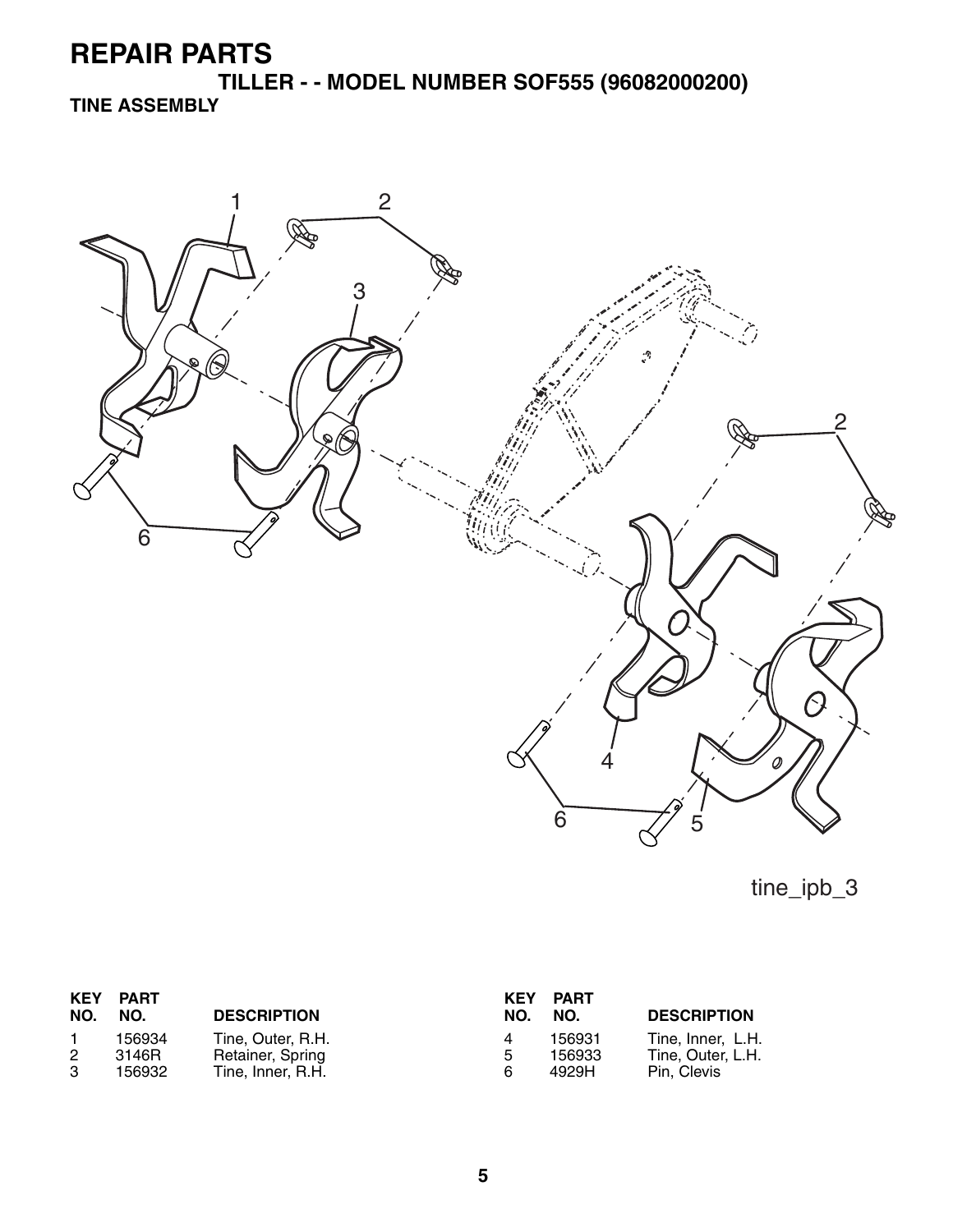**TILLER - - MODEL NUMBER SOF555 (96082000200) TINE ASSEMBLY**



tine\_ipb\_3

| <b>KEY</b><br>NO. | <b>PART</b><br>NO. | <b>DESCRIPTION</b>                    | KEY<br>NO. | PART<br>NO.      | <b>DESCRIPTION</b>                     |
|-------------------|--------------------|---------------------------------------|------------|------------------|----------------------------------------|
| 2                 | 156934<br>3146R    | Tine, Outer, R.H.                     | 4<br>5     | 156931<br>156933 | Tine, Inner, L.H.<br>Tine, Outer, L.H. |
| 3                 | 156932             | Retainer, Spring<br>Tine, Inner, R.H. | 6          | 4929H            | Pin. Clevis                            |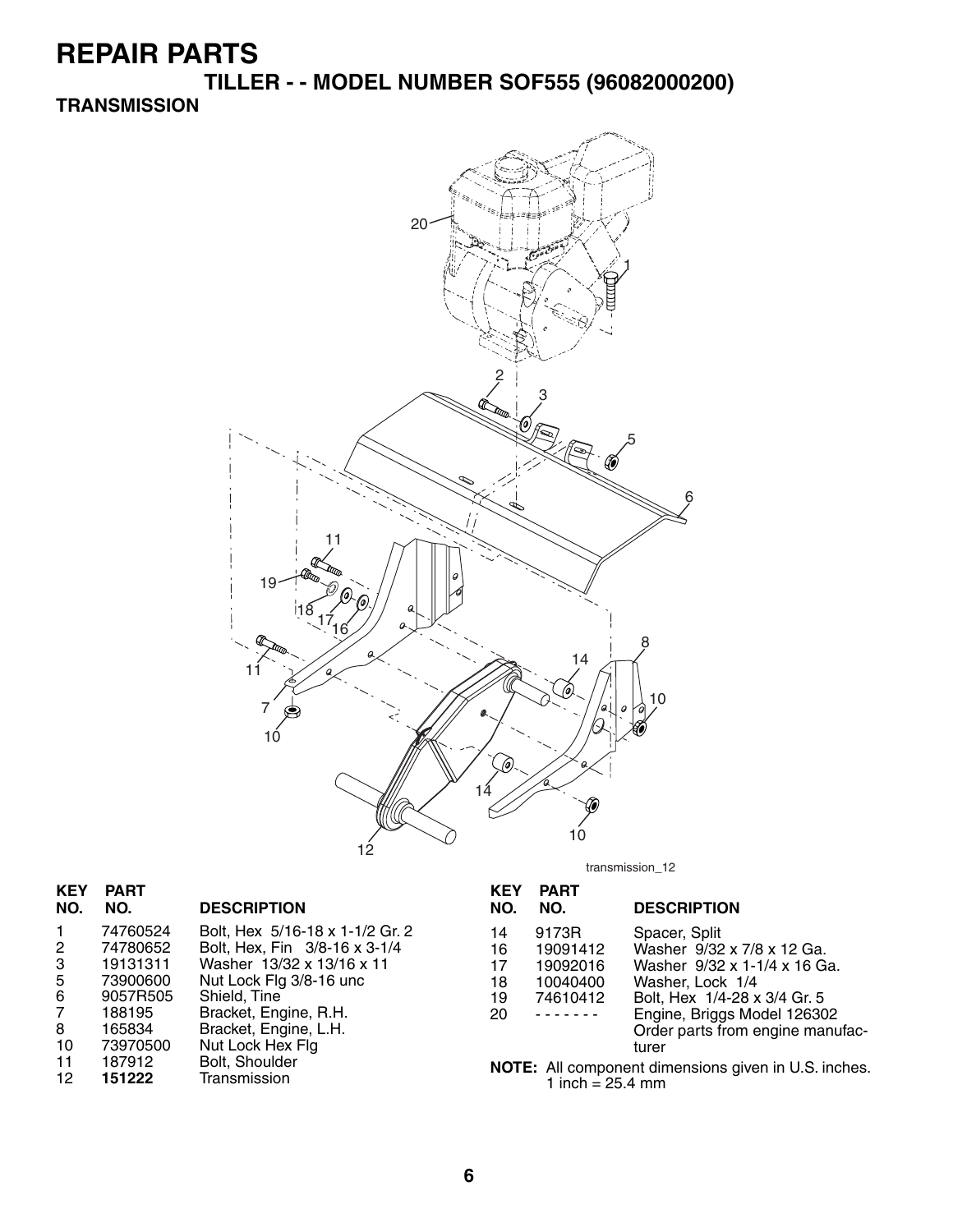**TILLER - - MODEL NUMBER SOF555 (96082000200)**

#### **TRANSMISSION**



| <b>KEY</b><br>NO.                                                         | <b>PART</b><br>NO.                                                                                           | <b>DESCRIPTION</b>                                                                                                                                                                                                                               | <b>KEY</b><br>NO.                | <b>PART</b><br>NO.                                                          | <b>DESCRIPTION</b>                                                                                                                                                                                                                                                  |
|---------------------------------------------------------------------------|--------------------------------------------------------------------------------------------------------------|--------------------------------------------------------------------------------------------------------------------------------------------------------------------------------------------------------------------------------------------------|----------------------------------|-----------------------------------------------------------------------------|---------------------------------------------------------------------------------------------------------------------------------------------------------------------------------------------------------------------------------------------------------------------|
| $\mathbf{1}$<br>$\overline{2}$<br>3<br>5<br>6<br>7<br>8<br>10<br>11<br>12 | 74760524<br>74780652<br>19131311<br>73900600<br>9057R505<br>188195<br>165834<br>73970500<br>187912<br>151222 | Bolt, Hex 5/16-18 x 1-1/2 Gr. 2<br>Bolt, Hex, Fin 3/8-16 x 3-1/4<br>Washer 13/32 x 13/16 x 11<br>Nut Lock Flg 3/8-16 unc<br>Shield, Tine<br>Bracket, Engine, R.H.<br>Bracket, Engine, L.H.<br>Nut Lock Hex Flg<br>Bolt, Shoulder<br>Transmission | 14<br>16<br>17<br>18<br>19<br>20 | 9173R<br>19091412<br>19092016<br>10040400<br>74610412<br>1 inch = $25.4$ mm | Spacer, Split<br>Washer 9/32 x 7/8 x 12 Ga.<br>Washer 9/32 x 1-1/4 x 16 Ga.<br>Washer, Lock 1/4<br>Bolt, Hex 1/4-28 x 3/4 Gr. 5<br>Engine, Briggs Model 126302<br>Order parts from engine manufac-<br>turer<br>NOTE: All component dimensions given in U.S. inches. |

transmission\_12

| <b>KEY</b><br>NO.                                           | <b>PART</b><br>NO. | <b>DESCRIPTION</b>               |  |  |
|-------------------------------------------------------------|--------------------|----------------------------------|--|--|
| 14                                                          | 9173R              | Spacer, Split                    |  |  |
| 16                                                          | 19091412           | Washer 9/32 x 7/8 x 12 Ga.       |  |  |
| 17                                                          | 19092016           | Washer 9/32 x 1-1/4 x 16 Ga.     |  |  |
| 18                                                          | 10040400           | Washer, Lock 1/4                 |  |  |
| 19                                                          | 74610412           | Bolt, Hex 1/4-28 x 3/4 Gr. 5     |  |  |
| 20                                                          |                    | Engine, Briggs Model 126302      |  |  |
|                                                             |                    | Order parts from engine manufac- |  |  |
|                                                             |                    | turer                            |  |  |
| <b>NOTE:</b> All component dimensions given in U.S. inches. |                    |                                  |  |  |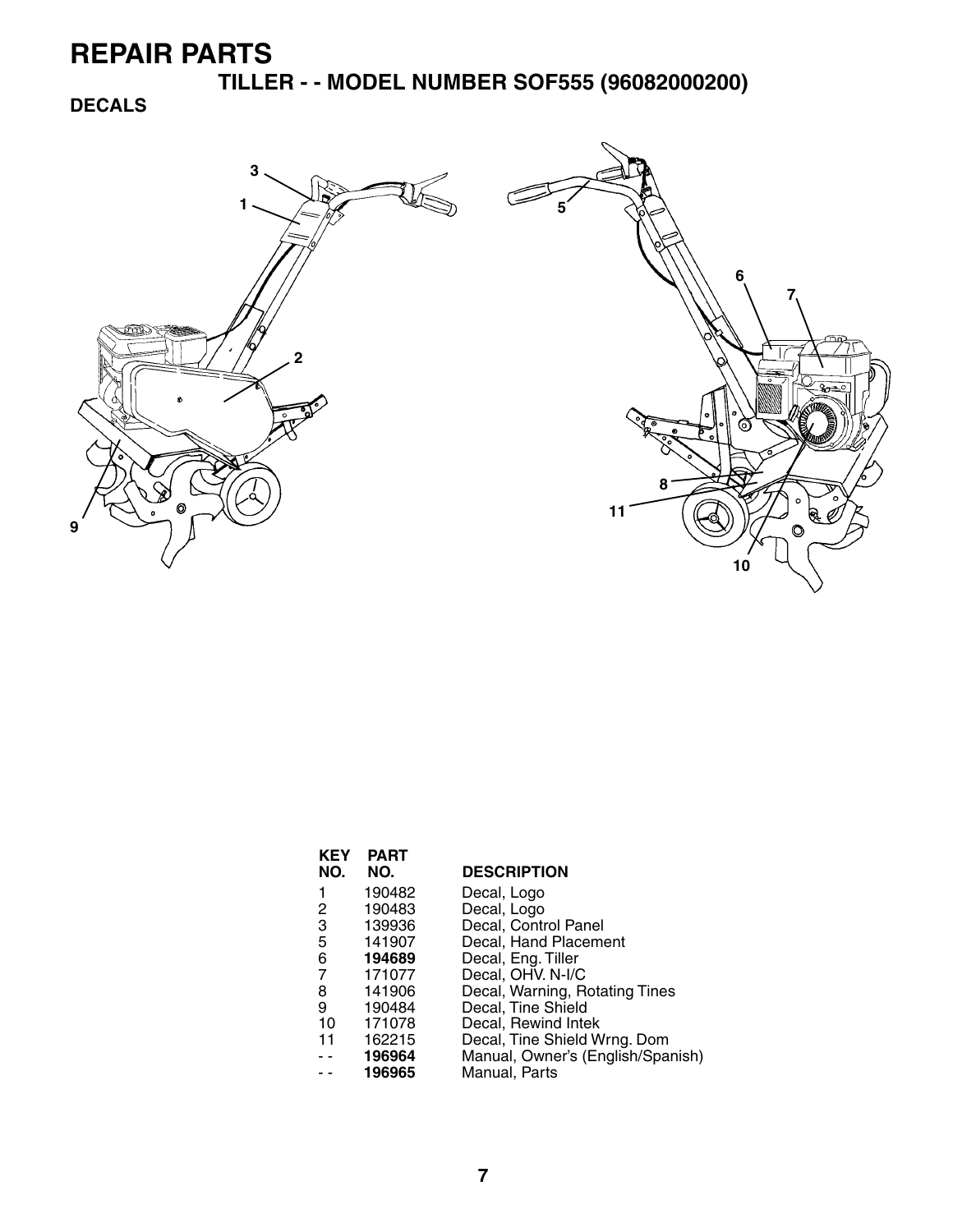**TILLER - - MODEL NUMBER SOF555 (96082000200)**

**DECALS**



| KEY<br>NO. | <b>PART</b><br>NO. | <b>DESCRIPTION</b>                |
|------------|--------------------|-----------------------------------|
| 1          | 190482             | Decal, Logo                       |
| 2          | 190483             | Decal, Logo                       |
| 3          | 139936             | Decal, Control Panel              |
| 5          | 141907             | Decal, Hand Placement             |
| 6          | 194689             | Decal, Eng. Tiller                |
| 7          | 171077             | Decal, OHV. N-I/C                 |
| 8          | 141906             | Decal, Warning, Rotating Tines    |
| 9          | 190484             | Decal, Tine Shield                |
| 10         | 171078             | Decal, Rewind Intek               |
| 11         | 162215             | Decal, Tine Shield Wrng. Dom      |
|            | 196964             | Manual, Owner's (English/Spanish) |
|            | 196965             | Manual, Parts                     |
|            |                    |                                   |